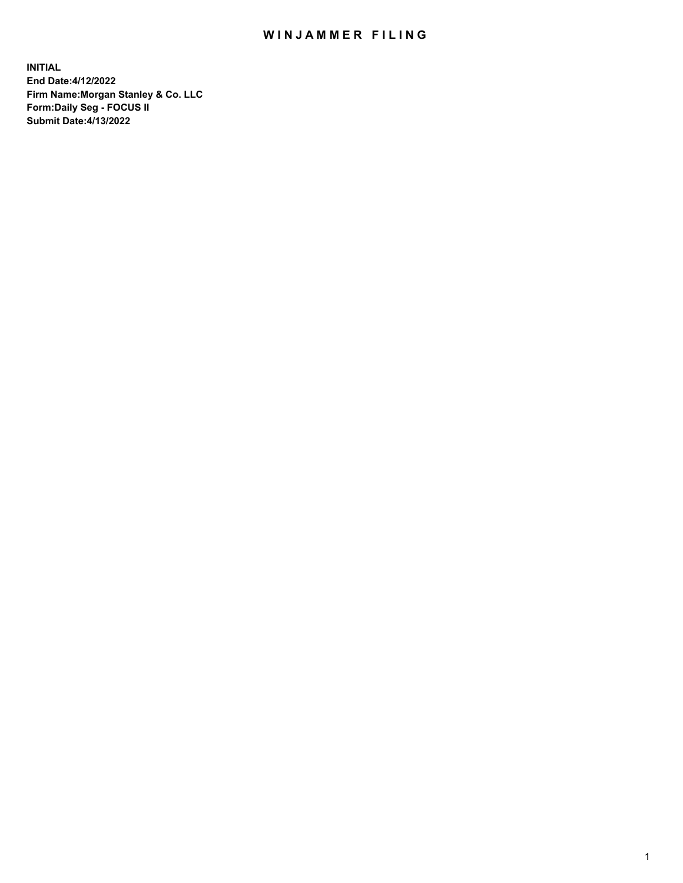## WIN JAMMER FILING

**INITIAL End Date:4/12/2022 Firm Name:Morgan Stanley & Co. LLC Form:Daily Seg - FOCUS II Submit Date:4/13/2022**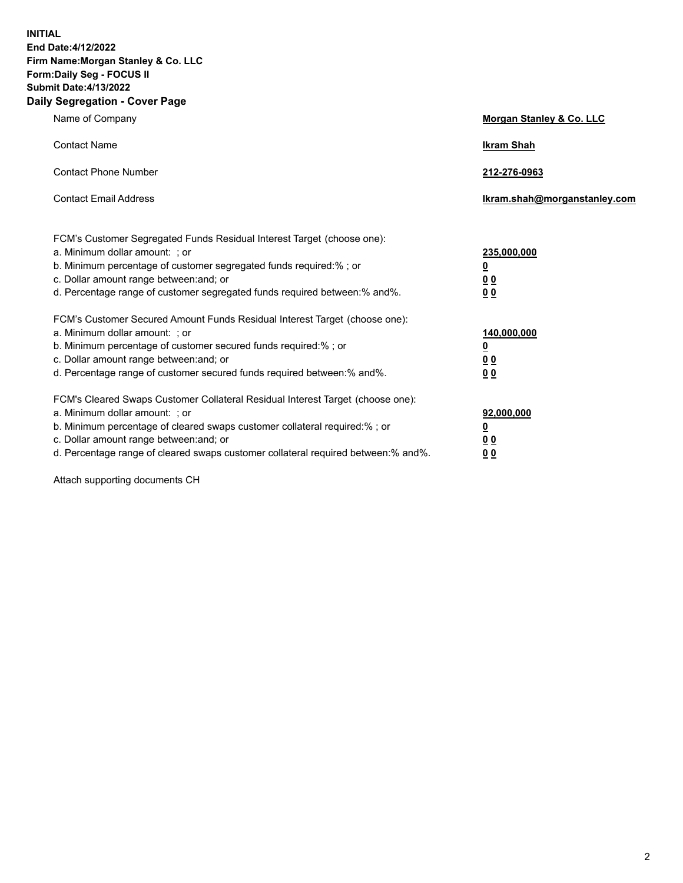**INITIAL End Date:4/12/2022 Firm Name:Morgan Stanley & Co. LLC Form:Daily Seg - FOCUS II Submit Date:4/13/2022 Daily Segregation - Cover Page**

| Name of Company                                                                                                                                                                                                                                                                                                                | <b>Morgan Stanley &amp; Co. LLC</b>                    |
|--------------------------------------------------------------------------------------------------------------------------------------------------------------------------------------------------------------------------------------------------------------------------------------------------------------------------------|--------------------------------------------------------|
| <b>Contact Name</b>                                                                                                                                                                                                                                                                                                            | <b>Ikram Shah</b>                                      |
| <b>Contact Phone Number</b>                                                                                                                                                                                                                                                                                                    | 212-276-0963                                           |
| <b>Contact Email Address</b>                                                                                                                                                                                                                                                                                                   | Ikram.shah@morganstanley.com                           |
| FCM's Customer Segregated Funds Residual Interest Target (choose one):<br>a. Minimum dollar amount: : or<br>b. Minimum percentage of customer segregated funds required:%; or<br>c. Dollar amount range between: and; or<br>d. Percentage range of customer segregated funds required between:% and%.                          | 235,000,000<br><u>0</u><br><u>00</u><br><u>00</u>      |
| FCM's Customer Secured Amount Funds Residual Interest Target (choose one):<br>a. Minimum dollar amount: ; or<br>b. Minimum percentage of customer secured funds required:%; or<br>c. Dollar amount range between: and; or<br>d. Percentage range of customer secured funds required between:% and%.                            | 140,000,000<br><u>0</u><br><u>00</u><br>0 <sub>0</sub> |
| FCM's Cleared Swaps Customer Collateral Residual Interest Target (choose one):<br>a. Minimum dollar amount: ; or<br>b. Minimum percentage of cleared swaps customer collateral required:% ; or<br>c. Dollar amount range between: and; or<br>d. Percentage range of cleared swaps customer collateral required between:% and%. | 92,000,000<br><u>0</u><br><u>00</u><br>00              |

Attach supporting documents CH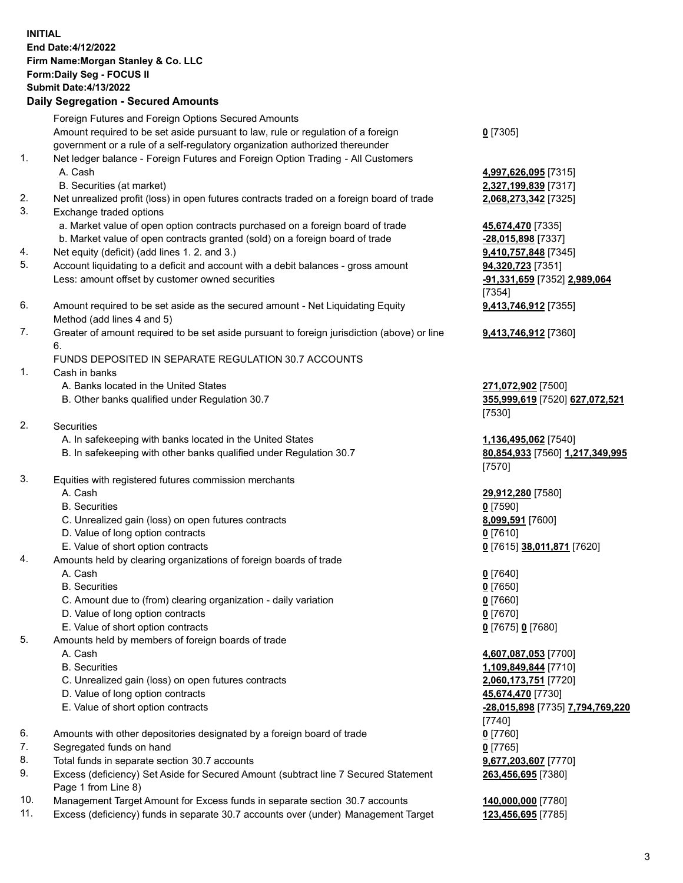## **INITIAL End Date:4/12/2022 Firm Name:Morgan Stanley & Co. LLC Form:Daily Seg - FOCUS II Submit Date:4/13/2022 Daily Segregation - Secured Amounts** Foreign Futures and Foreign Options Secured Amounts Amount required to be set aside pursuant to law, rule or regulation of a foreign government or a rule of a self-regulatory organization authorized thereunder 1. Net ledger balance - Foreign Futures and Foreign Option Trading - All Customers A. Cash **4,997,626,095** [7315] B. Securities (at market) **2,327,199,839** [7317] 2. Net unrealized profit (loss) in open futures contracts traded on a foreign board of trade **2,068,273,342** [7325] 3. Exchange traded options a. Market value of open option contracts purchased on a foreign board of trade **45,674,470** [7335] b. Market value of open contracts granted (sold) on a foreign board of trade **-28,015,898** [7337] 4. Net equity (deficit) (add lines 1. 2. and 3.) **9,410,757,848** [7345] 5. Account liquidating to a deficit and account with a debit balances - gross amount **94,320,723** [7351] Less: amount offset by customer owned securities **-91,331,659** [7352] **2,989,064** 6. Amount required to be set aside as the secured amount - Net Liquidating Equity Method (add lines 4 and 5) 7. Greater of amount required to be set aside pursuant to foreign jurisdiction (above) or line 6. FUNDS DEPOSITED IN SEPARATE REGULATION 30.7 ACCOUNTS 1. Cash in banks A. Banks located in the United States **271,072,902** [7500] B. Other banks qualified under Regulation 30.7 **355,999,619** [7520] **627,072,521** 2. Securities A. In safekeeping with banks located in the United States **1,136,495,062** [7540] B. In safekeeping with other banks qualified under Regulation 30.7 **80,854,933** [7560] **1,217,349,995**

- 3. Equities with registered futures commission merchants
	-
	- B. Securities **0** [7590]
	- C. Unrealized gain (loss) on open futures contracts **8,099,591** [7600]
	- D. Value of long option contracts **0** [7610]
	- E. Value of short option contracts **0** [7615] **38,011,871** [7620]
- 4. Amounts held by clearing organizations of foreign boards of trade
	-
	- B. Securities **0** [7650]
	- C. Amount due to (from) clearing organization daily variation **0** [7660]
	- D. Value of long option contracts **0** [7670]
	- E. Value of short option contracts **0** [7675] **0** [7680]
- 5. Amounts held by members of foreign boards of trade
	-
	-
	- C. Unrealized gain (loss) on open futures contracts **2,060,173,751** [7720]
	- D. Value of long option contracts **45,674,470** [7730]
	- E. Value of short option contracts **-28,015,898** [7735] **7,794,769,220**
- 6. Amounts with other depositories designated by a foreign board of trade **0** [7760]
- 7. Segregated funds on hand **0** [7765]
- 8. Total funds in separate section 30.7 accounts **9,677,203,607** [7770]
- 9. Excess (deficiency) Set Aside for Secured Amount (subtract line 7 Secured Statement Page 1 from Line 8)
- 10. Management Target Amount for Excess funds in separate section 30.7 accounts **140,000,000** [7780]
- 11. Excess (deficiency) funds in separate 30.7 accounts over (under) Management Target **123,456,695** [7785]

**0** [7305]

[7354] **9,413,746,912** [7355]

**9,413,746,912** [7360]

[7530]

[7570]

A. Cash **29,912,280** [7580]

A. Cash **0** [7640]

 A. Cash **4,607,087,053** [7700] B. Securities **1,109,849,844** [7710] [7740] **263,456,695** [7380]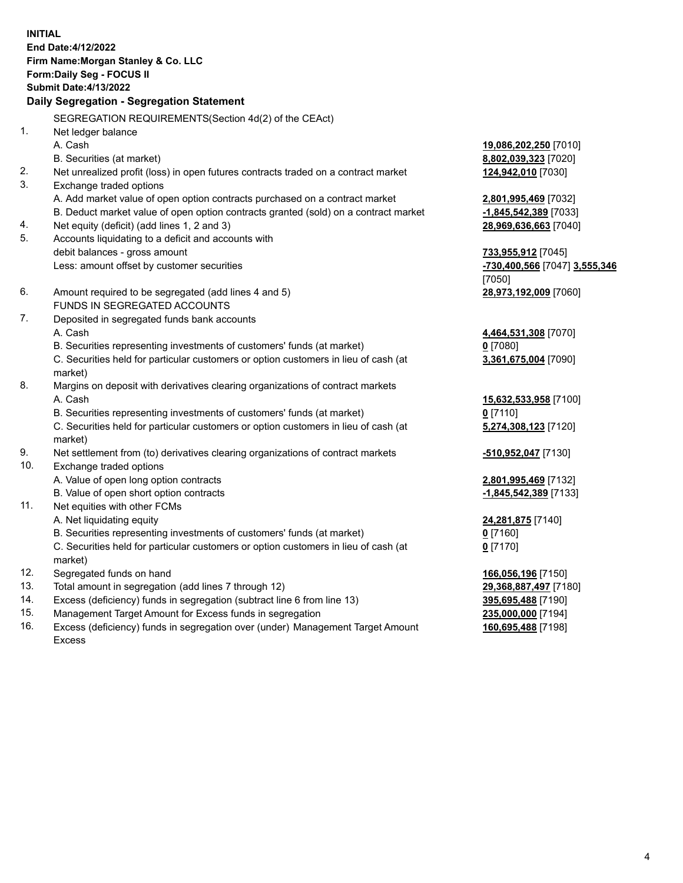**INITIAL End Date:4/12/2022 Firm Name:Morgan Stanley & Co. LLC Form:Daily Seg - FOCUS II Submit Date:4/13/2022 Daily Segregation - Segregation Statement** SEGREGATION REQUIREMENTS(Section 4d(2) of the CEAct) 1. Net ledger balance A. Cash **19,086,202,250** [7010] B. Securities (at market) **8,802,039,323** [7020] 2. Net unrealized profit (loss) in open futures contracts traded on a contract market **124,942,010** [7030] 3. Exchange traded options A. Add market value of open option contracts purchased on a contract market **2,801,995,469** [7032] B. Deduct market value of open option contracts granted (sold) on a contract market **-1,845,542,389** [7033] 4. Net equity (deficit) (add lines 1, 2 and 3) **28,969,636,663** [7040] 5. Accounts liquidating to a deficit and accounts with debit balances - gross amount **733,955,912** [7045] Less: amount offset by customer securities **-730,400,566** [7047] **3,555,346** [7050] 6. Amount required to be segregated (add lines 4 and 5) **28,973,192,009** [7060] FUNDS IN SEGREGATED ACCOUNTS 7. Deposited in segregated funds bank accounts A. Cash **4,464,531,308** [7070] B. Securities representing investments of customers' funds (at market) **0** [7080] C. Securities held for particular customers or option customers in lieu of cash (at market) **3,361,675,004** [7090] 8. Margins on deposit with derivatives clearing organizations of contract markets A. Cash **15,632,533,958** [7100] B. Securities representing investments of customers' funds (at market) **0** [7110] C. Securities held for particular customers or option customers in lieu of cash (at market) **5,274,308,123** [7120] 9. Net settlement from (to) derivatives clearing organizations of contract markets **-510,952,047** [7130] 10. Exchange traded options A. Value of open long option contracts **2,801,995,469** [7132] B. Value of open short option contracts **-1,845,542,389** [7133] 11. Net equities with other FCMs A. Net liquidating equity **24,281,875** [7140] B. Securities representing investments of customers' funds (at market) **0** [7160] C. Securities held for particular customers or option customers in lieu of cash (at market) **0** [7170] 12. Segregated funds on hand **166,056,196** [7150] 13. Total amount in segregation (add lines 7 through 12) **29,368,887,497** [7180] 14. Excess (deficiency) funds in segregation (subtract line 6 from line 13) **395,695,488** [7190] 15. Management Target Amount for Excess funds in segregation **235,000,000** [7194]

16. Excess (deficiency) funds in segregation over (under) Management Target Amount Excess

**160,695,488** [7198]